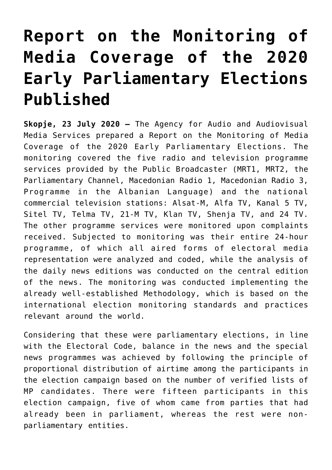## **[Report on the Monitoring of](https://avmu.mk/en/2020/07/23/report-on-the-monitoring-of-media-coverage-of-the-2020-early-parliamentary-elections-published/) [Media Coverage of the 2020](https://avmu.mk/en/2020/07/23/report-on-the-monitoring-of-media-coverage-of-the-2020-early-parliamentary-elections-published/) [Early Parliamentary Elections](https://avmu.mk/en/2020/07/23/report-on-the-monitoring-of-media-coverage-of-the-2020-early-parliamentary-elections-published/) [Published](https://avmu.mk/en/2020/07/23/report-on-the-monitoring-of-media-coverage-of-the-2020-early-parliamentary-elections-published/)**

**Skopje, 23 July 2020 –** The Agency for Audio and Audiovisual Media Services prepared a Report on the Monitoring of Media Coverage of the 2020 Early Parliamentary Elections. The monitoring covered the five radio and television programme services provided by the Public Broadcaster (MRT1, MRT2, the Parliamentary Channel, Macedonian Radio 1, Macedonian Radio 3, Programme in the Albanian Language) and the national commercial television stations: Alsat-M, Alfa TV, Kanal 5 TV, Sitel TV, Telma TV, 21-M TV, Klan TV, Shenja TV, and 24 TV. The other programme services were monitored upon complaints received. Subjected to monitoring was their entire 24-hour programme, of which all aired forms of electoral media representation were analyzed and coded, while the analysis of the daily news editions was conducted on the central edition of the news. The monitoring was conducted implementing the already well-established Methodology, which is based on the international election monitoring standards and practices relevant around the world.

Considering that these were parliamentary elections, in line with the Electoral Code, balance in the news and the special news programmes was achieved by following the principle of proportional distribution of airtime among the participants in the election campaign based on the number of verified lists of MP candidates. There were fifteen participants in this election campaign, five of whom came from parties that had already been in parliament, whereas the rest were nonparliamentary entities.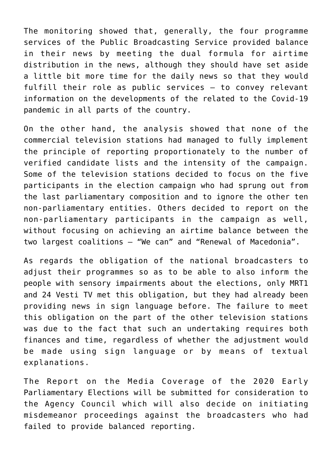The monitoring showed that, generally, the four programme services of the Public Broadcasting Service provided balance in their news by meeting the dual formula for airtime distribution in the news, although they should have set aside a little bit more time for the daily news so that they would fulfill their role as public services – to convey relevant information on the developments of the related to the Covid-19 pandemic in all parts of the country.

On the other hand, the analysis showed that none of the commercial television stations had managed to fully implement the principle of reporting proportionately to the number of verified candidate lists and the intensity of the campaign. Some of the television stations decided to focus on the five participants in the election campaign who had sprung out from the last parliamentary composition and to ignore the other ten non-parliamentary entities. Others decided to report on the non-parliamentary participants in the campaign as well, without focusing on achieving an airtime balance between the two largest coalitions – "We can" and "Renewal of Macedonia".

As regards the obligation of the national broadcasters to adjust their programmes so as to be able to also inform the people with sensory impairments about the elections, only MRT1 and 24 Vesti TV met this obligation, but they had already been providing news in sign language before. The failure to meet this obligation on the part of the other television stations was due to the fact that such an undertaking requires both finances and time, regardless of whether the adjustment would be made using sign language or by means of textual explanations.

The Report on the Media Coverage of the 2020 Early Parliamentary Elections will be submitted for consideration to the Agency Council which will also decide on initiating misdemeanor proceedings against the broadcasters who had failed to provide balanced reporting.